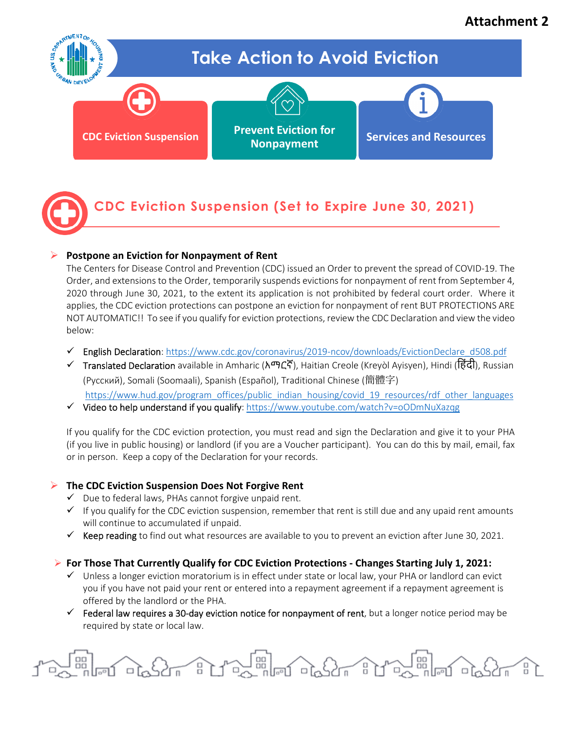# **Attachment 2**



# **CDC Eviction Suspension (Set to Expire June 30, 2021)**

## **Postpone an Eviction for Nonpayment of Rent**

The Centers for Disease Control and Prevention (CDC) issued an Order to prevent the spread of COVID-19. The Order, and extensions to the Order, temporarily suspends evictions for nonpayment of rent from September 4, 2020 through June 30, 2021, to the extent its application is not prohibited by federal court order. Where it applies, the CDC eviction protections can postpone an eviction for nonpayment of rent BUT PROTECTIONS ARE NOT AUTOMATIC!! To see if you qualify for eviction protections, review the CDC Declaration and view the video below:

- English Declaration: [https://www.cdc.gov/coronavirus/2019-ncov/downloads/EvictionDeclare\\_d508.pdf](https://www.cdc.gov/coronavirus/2019-ncov/downloads/EvictionDeclare_d508.pdf)
- Translated Declaration available in Amharic (አማርኛ), Haitian Creole (Kreyòl Ayisyen), Hindi (िहंदी), Russian (Русский), Somali (Soomaali), Spanish (Español), Traditional Chinese (簡體字) [https://www.hud.gov/program\\_offices/public\\_indian\\_housing/covid\\_19\\_resources/rdf\\_other\\_languages](https://www.hud.gov/program_offices/public_indian_housing/covid_19_resources/rdf_other_languages)
- $\checkmark$  Video to help understand if you qualify: https://www.youtube.com/watch?v=00DmNuXazqg

If you qualify for the CDC eviction protection, you must read and sign the Declaration and give it to your PHA (if you live in public housing) or landlord (if you are a Voucher participant). You can do this by mail, email, fax or in person. Keep a copy of the Declaration for your records.

# **The CDC Eviction Suspension Does Not Forgive Rent**

- $\checkmark$  Due to federal laws, PHAs cannot forgive unpaid rent.
- $\checkmark$  If you qualify for the CDC eviction suspension, remember that rent is still due and any upaid rent amounts will continue to accumulated if unpaid.
- $\checkmark$  Keep reading to find out what resources are available to you to prevent an eviction after June 30, 2021.

## **For Those That Currently Qualify for CDC Eviction Protections - Changes Starting July 1, 2021:**

- $\checkmark$  Unless a longer eviction moratorium is in effect under state or local law, your PHA or landlord can evict you if you have not paid your rent or entered into a repayment agreement if a repayment agreement is offered by the landlord or the PHA.
- $\checkmark$  Federal law requires a 30-day eviction notice for nonpayment of rent, but a longer notice period may be required by state or local law.

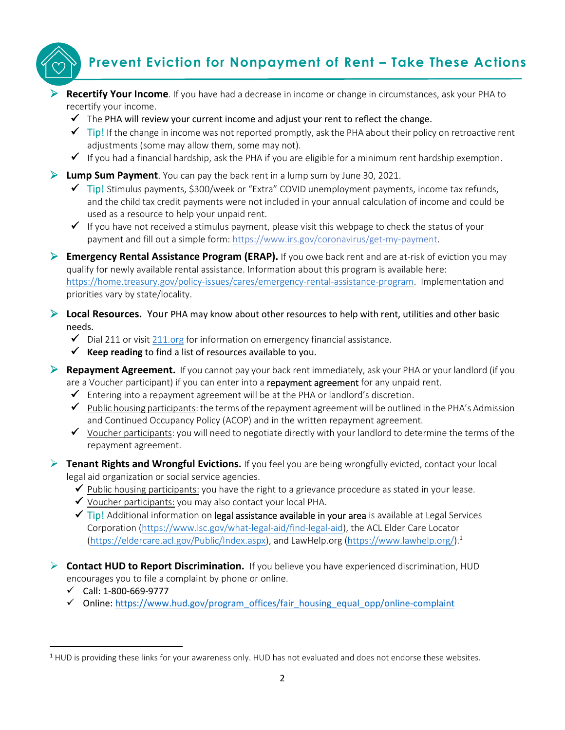# **.**

# **Prevent Eviction for Nonpayment of Rent – Take These Actions**

- **Recertify Your Income**. If you have had a decrease in income or change in circumstances, ask your PHA to recertify your income.
	- $\checkmark$  The PHA will review your current income and adjust your rent to reflect the change.
	- $\checkmark$  Tip! If the change in income was not reported promptly, ask the PHA about their policy on retroactive rent adjustments (some may allow them, some may not).
	- $\checkmark$  If you had a financial hardship, ask the PHA if you are eligible for a minimum rent hardship exemption.

**Lump Sum Payment**. You can pay the back rent in a lump sum by June 30, 2021.

- $\checkmark$  Tip! Stimulus payments, \$300/week or "Extra" COVID unemployment payments, income tax refunds, and the child tax credit payments were not included in your annual calculation of income and could be used as a resource to help your unpaid rent.
- $\checkmark$  If you have not received a stimulus payment, please visit this webpage to check the status of your payment and fill out a simple form: [https://www.irs.gov/coronavirus/get-my-payment.](https://www.irs.gov/coronavirus/get-my-payment)

 **Emergency Rental Assistance Program (ERAP).** If you owe back rent and are at-risk of eviction you may qualify for newly available rental assistance. Information about this program is available here: [https://home.treasury.gov/policy-issues/cares/emergency-rental-assistance-program.](https://home.treasury.gov/policy-issues/cares/emergency-rental-assistance-program) Implementation and priorities vary by state/locality.

 **Local Resources.** Your PHA may know about other resources to help with rent, utilities and other basic needs.

- $\checkmark$  Dial 211 or visit [211.org](https://www.211.org/) for information on emergency financial assistance.
- $\checkmark$  Keep reading to find a list of resources available to you.
- **Repayment Agreement.** If you cannot pay your back rent immediately, ask your PHA or your landlord (if you are a Voucher participant) if you can enter into a repayment agreement for any unpaid rent.
	- $\checkmark$  Entering into a repayment agreement will be at the PHA or landlord's discretion.
	- $\checkmark$  Public housing participants: the terms of the repayment agreement will be outlined in the PHA's Admission and Continued Occupancy Policy (ACOP) and in the written repayment agreement.
	- $\checkmark$  Voucher participants: you will need to negotiate directly with your landlord to determine the terms of the repayment agreement.
- **Tenant Rights and Wrongful Evictions.** If you feel you are being wrongfully evicted, contact your local legal aid organization or social service agencies.
	- $\checkmark$  Public housing participants: you have the right to a grievance procedure as stated in your lease.
	- $\checkmark$  Voucher participants: you may also contact your local PHA.
	- $\checkmark$  Tip! Additional information on legal assistance available in your area is available at Legal Services Corporation [\(https://www.lsc.gov/what-legal-aid/find-legal-aid\)](https://www.lsc.gov/what-legal-aid/find-legal-aid), the ACL Elder Care Locator [\(https://eldercare.acl.gov/Public/Index.aspx\)](https://eldercare.acl.gov/Public/Index.aspx), and LawHelp.org [\(https://www.lawhelp.org/\)](https://www.lawhelp.org/).<sup>1</sup>
- **Contact HUD to Report Discrimination.** If you believe you have experienced discrimination, HUD encourages you to file a complaint by phone or online.
	- $\checkmark$  Call: 1-800-669-9777
	- $\checkmark$  Online: https://www.hud.gov/program\_offices/fair\_housing\_equal\_opp/online-complaint

<sup>1</sup> HUD is providing these links for your awareness only. HUD has not evaluated and does not endorse these websites.